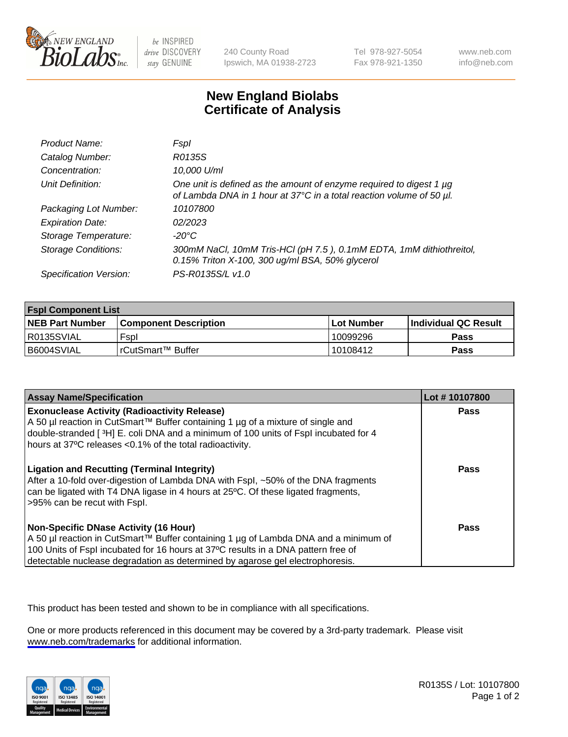

be INSPIRED drive DISCOVERY stay GENUINE

240 County Road Ipswich, MA 01938-2723 Tel 978-927-5054 Fax 978-921-1350

www.neb.com info@neb.com

## **New England Biolabs Certificate of Analysis**

| Product Name:              | Fspl                                                                                                                                        |
|----------------------------|---------------------------------------------------------------------------------------------------------------------------------------------|
| Catalog Number:            | R0135S                                                                                                                                      |
| Concentration:             | 10,000 U/ml                                                                                                                                 |
| Unit Definition:           | One unit is defined as the amount of enzyme required to digest 1 µg<br>of Lambda DNA in 1 hour at 37°C in a total reaction volume of 50 µl. |
| Packaging Lot Number:      | 10107800                                                                                                                                    |
| <b>Expiration Date:</b>    | 02/2023                                                                                                                                     |
| Storage Temperature:       | -20°C                                                                                                                                       |
| <b>Storage Conditions:</b> | 300mM NaCl, 10mM Tris-HCl (pH 7.5), 0.1mM EDTA, 1mM dithiothreitol,<br>0.15% Triton X-100, 300 ug/ml BSA, 50% glycerol                      |
| Specification Version:     | PS-R0135S/L v1.0                                                                                                                            |

| <b>Fspl Component List</b> |                              |                   |                             |  |
|----------------------------|------------------------------|-------------------|-----------------------------|--|
| <b>NEB Part Number</b>     | <b>Component Description</b> | <b>Lot Number</b> | <b>Individual QC Result</b> |  |
| R0135SVIAL                 | Fspl                         | 10099296          | Pass                        |  |
| B6004SVIAL                 | rCutSmart™ Buffer            | 10108412          | Pass                        |  |

| <b>Assay Name/Specification</b>                                                                                                                                                                                                                                                                           | Lot #10107800 |
|-----------------------------------------------------------------------------------------------------------------------------------------------------------------------------------------------------------------------------------------------------------------------------------------------------------|---------------|
| <b>Exonuclease Activity (Radioactivity Release)</b><br>A 50 µl reaction in CutSmart™ Buffer containing 1 µg of a mixture of single and<br>double-stranded [3H] E. coli DNA and a minimum of 100 units of Fspl incubated for 4<br>hours at 37°C releases <0.1% of the total radioactivity.                 | Pass          |
| <b>Ligation and Recutting (Terminal Integrity)</b><br>After a 10-fold over-digestion of Lambda DNA with Fspl, ~50% of the DNA fragments<br>can be ligated with T4 DNA ligase in 4 hours at 25 °C. Of these ligated fragments,<br>>95% can be recut with Fspl.                                             | Pass          |
| <b>Non-Specific DNase Activity (16 Hour)</b><br>A 50 µl reaction in CutSmart™ Buffer containing 1 µg of Lambda DNA and a minimum of<br>100 Units of Fspl incubated for 16 hours at 37°C results in a DNA pattern free of<br>detectable nuclease degradation as determined by agarose gel electrophoresis. | <b>Pass</b>   |

This product has been tested and shown to be in compliance with all specifications.

One or more products referenced in this document may be covered by a 3rd-party trademark. Please visit <www.neb.com/trademarks>for additional information.